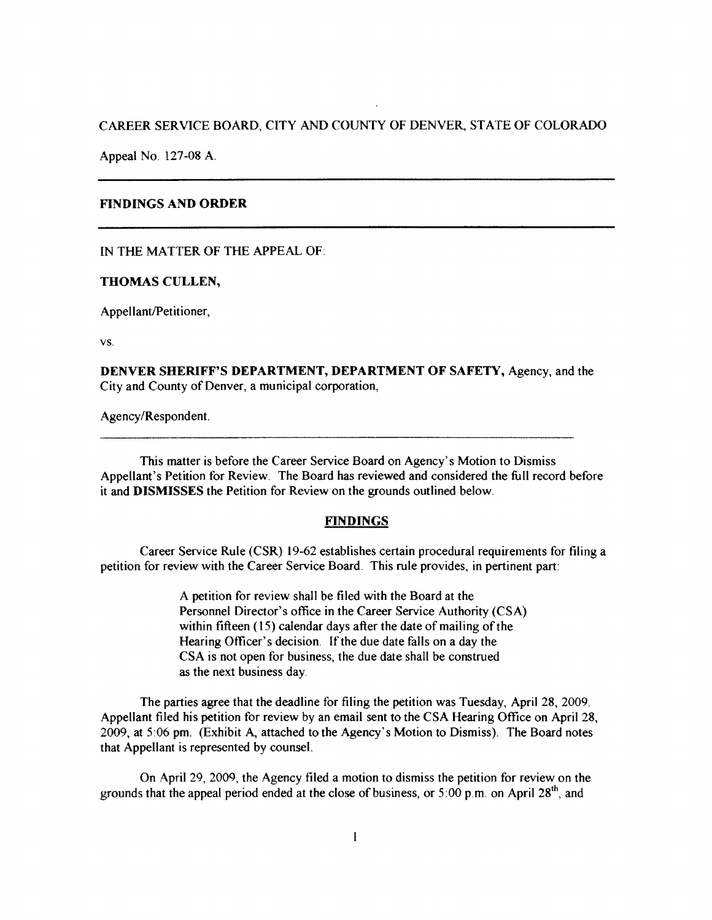# CAREER SERVICE BOARD, CITY AND COUNTY OF DENVER, STATE OF COLORADO

Appeal No. 127-08 A.

## **FINDINGS AND ORDER**

IN THE MATTER OF THE APPEAL OF

#### **THOMAS CULLEN,**

Appellant/Petitioner,

VS.

**DENVER SHERIFF'S DEPARTMENT, DEPARTMENT OF SAFETY,** Agency, and the City and County of Denver, a municipal corporation,

Agency/Respondent.

This matter is before the Career Service Board on Agency's Motion to Dismiss Appellant's Petition for Review. The Board has reviewed and considered the full record before it and **DISMISSES** the Petition for Review on the grounds outlined below.

### **FINDINGS**

Career Service Rule (CSR) 19-62 establishes certain procedural requirements for filing a petition for review with the Career Service Board. This rule provides, in pertinent part:

> A petition for review shall be filed with the Board at the Personnel Director's office in the Career Service Authority (CSA) within fifteen (15) calendar days after the date of mailing of the Hearing Officer's decision. If the due date falls on a day the CSA is not open for business, the due date shall be construed as the next business day.

The parties agree that the deadline for filing the petition was Tuesday, April 28, 2009. Appellant filed his petition for review by an email sent to the CSA Hearing Office on April 28, 2009, at 5:06 pm. (Exhibit A, attached to the Agency's Motion to Dismiss). The Board notes that Appellant is represented by counsel.

On April 29, 2009, the Agency filed a motion to dismiss the petition for review on the grounds that the appeal period ended at the close of business, or  $5:00$  p.m. on April 28<sup>th</sup>, and